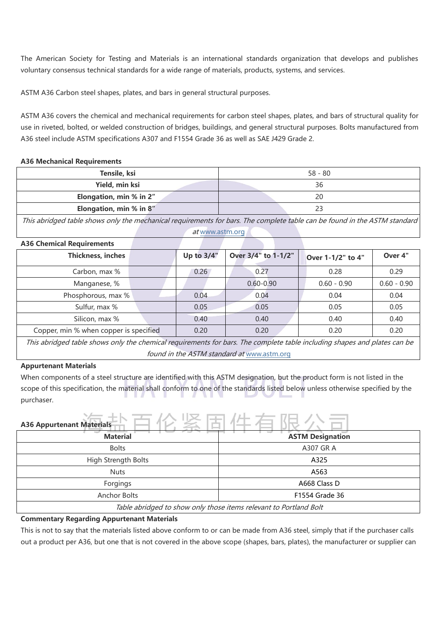The American Society for Testing and Materials is an international standards organization that develops and publishes voluntary consensus technical standards for a wide range of materials, products, systems, and services.

ASTM A36 Carbon steel shapes, plates, and bars in general structural purposes.

ASTM A36 covers the chemical and mechanical requirements for carbon steel shapes, plates, and bars of structural quality for use in riveted, bolted, or welded construction of bridges, buildings, and general structural purposes. Bolts manufactured from A36 steel include ASTM specifications A307 and F1554 Grade 36 as well as SAE J429 Grade 2.

#### **A36 Mechanical Requirements**

| Tensile, ksi            | $58 - 80$ |  |  |
|-------------------------|-----------|--|--|
| Yield, min ksi          | 36        |  |  |
| Elongation, min % in 2" | 20        |  |  |
| Elongation, min % in 8" |           |  |  |

This abridged table shows only the mechanical requirements for bars.The complete table can be found in the ASTM standard at [www.astm.org](https://www.astm.org/)

| <b>A36 Chemical Requirements</b>                                                                                |            |                     |                   |               |
|-----------------------------------------------------------------------------------------------------------------|------------|---------------------|-------------------|---------------|
| Thickness, inches                                                                                               | Up to 3/4" | Over 3/4" to 1-1/2" | Over 1-1/2" to 4" | Over 4"       |
| Carbon, max %                                                                                                   | 0.26       | 0.27                | 0.28              | 0.29          |
| Manganese, %                                                                                                    |            | $0.60 - 0.90$       | $0.60 - 0.90$     | $0.60 - 0.90$ |
| Phosphorous, max %                                                                                              | 0.04       | 0.04                | 0.04              | 0.04          |
| Sulfur, max %                                                                                                   | 0.05       | 0.05                | 0.05              | 0.05          |
| Silicon, max %                                                                                                  | 0.40       | 0.40                | 0.40              | 0.40          |
| Copper, min % when copper is specified                                                                          | 0.20       | 0.20                | 0.20              | 0.20          |
| the contract of the contract of the contract of the contract of the contract of the contract of the contract of |            |                     |                   |               |

This abridged table shows only the chemical requirements for bars. The complete table including shapes and plates can be found in the ASTM standard at [www.astm.org](https://www.astm.org/)

### **Appurtenant Materials**

When components of a steel structure are identified with this ASTM designation, but the product form is not listed in the scope of this specification, the material shall conform to one of the standards listed below unless otherwise specified by the purchaser.

## **A36 Appurtenant Materials Material ASTM** Designation Bolts A307 GR A High Strength Bolts **A325** Nuts and the contract of the contract of the contract of the contract of the contract of the contract of the contract of the contract of the contract of the contract of the contract of the contract of the contract of the c Forgings **A668 Class D** Anchor Bolts F1554 Grade 36 Table abridged to show only those items relevant to Portland Bolt

## **Commentary Regarding Appurtenant Materials**

This is not to say that the materials listed above conform to or can be made from A36 steel, simply that if the purchaser calls out a product per A36, but one that is not covered in the above scope (shapes, bars, plates), the manufacturer or supplier can